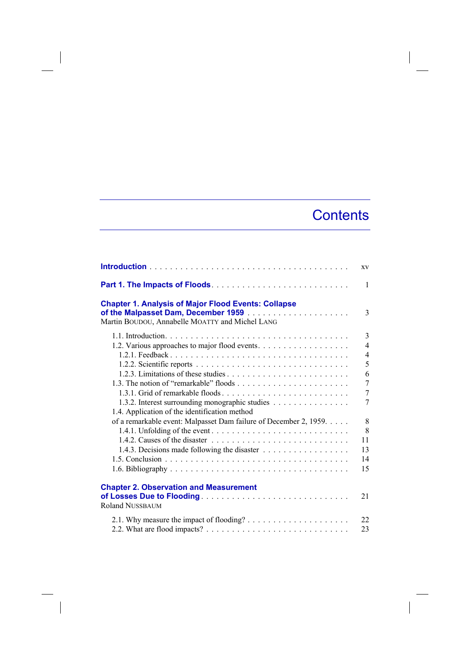## **Contents**

|                                                                                                               | XV                                                                |
|---------------------------------------------------------------------------------------------------------------|-------------------------------------------------------------------|
|                                                                                                               | $\mathbf{1}$                                                      |
| <b>Chapter 1. Analysis of Major Flood Events: Collapse</b><br>Martin BOUDOU, Annabelle MOATTY and Michel LANG | 3                                                                 |
| 1.2. Various approaches to major flood events.                                                                | 3<br>$\overline{4}$<br>$\overline{4}$<br>5<br>6<br>$\overline{7}$ |
| 1.3.2. Interest surrounding monographic studies<br>1.4. Application of the identification method              | $\overline{7}$<br>7                                               |
| of a remarkable event: Malpasset Dam failure of December 2, 1959.                                             | 8<br>8<br>11<br>13<br>14<br>15                                    |
| <b>Chapter 2. Observation and Measurement</b><br><b>Roland NUSSBAUM</b>                                       | 21                                                                |
|                                                                                                               | 22<br>23                                                          |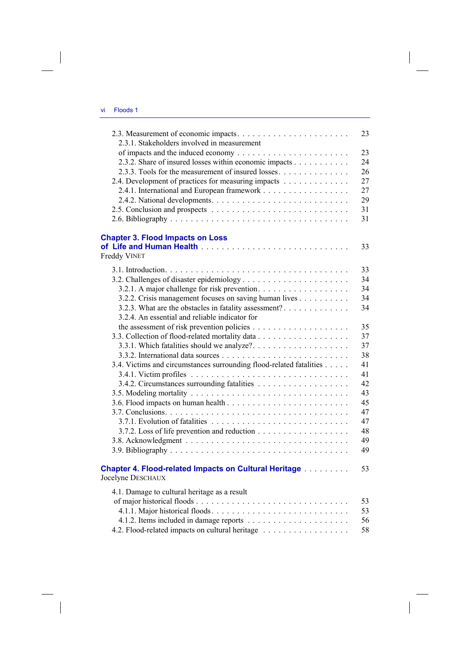| 2.3.1. Stakeholders involved in measurement                                             | 23 |
|-----------------------------------------------------------------------------------------|----|
|                                                                                         | 23 |
|                                                                                         |    |
| 2.3.2. Share of insured losses within economic impacts                                  | 24 |
| 2.3.3. Tools for the measurement of insured losses                                      | 26 |
| 2.4. Development of practices for measuring impacts                                     | 27 |
|                                                                                         | 27 |
|                                                                                         | 29 |
|                                                                                         | 31 |
|                                                                                         | 31 |
| <b>Chapter 3. Flood Impacts on Loss</b>                                                 |    |
|                                                                                         | 33 |
| <b>Freddy VINET</b>                                                                     |    |
|                                                                                         | 33 |
|                                                                                         | 34 |
| 3.2.1. A major challenge for risk prevention.                                           | 34 |
| 3.2.2. Crisis management focuses on saving human lives                                  | 34 |
| 3.2.3. What are the obstacles in fatality assessment?                                   | 34 |
| 3.2.4. An essential and reliable indicator for                                          |    |
|                                                                                         | 35 |
|                                                                                         |    |
|                                                                                         | 37 |
| 3.3.1. Which fatalities should we analyze?                                              | 37 |
|                                                                                         | 38 |
| 3.4. Victims and circumstances surrounding flood-related fatalities                     | 41 |
|                                                                                         | 41 |
|                                                                                         | 42 |
|                                                                                         | 43 |
|                                                                                         | 45 |
|                                                                                         | 47 |
|                                                                                         | 47 |
|                                                                                         | 48 |
|                                                                                         | 49 |
|                                                                                         | 49 |
|                                                                                         |    |
| <b>Chapter 4. Flood-related Impacts on Cultural Heritage [100]</b><br>Jocelyne DESCHAUX | 53 |
|                                                                                         |    |
| 4.1. Damage to cultural heritage as a result                                            |    |
|                                                                                         | 53 |
|                                                                                         | 53 |
|                                                                                         | 56 |
| 4.2. Flood-related impacts on cultural heritage                                         | 58 |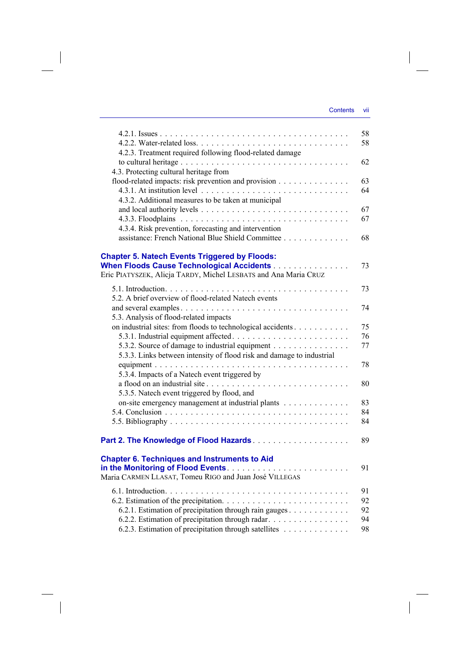$\begin{array}{c} \hline \end{array}$ 

|                                                                                                                          | 58 |
|--------------------------------------------------------------------------------------------------------------------------|----|
| 4.2.3. Treatment required following flood-related damage                                                                 | 58 |
|                                                                                                                          | 62 |
| 4.3. Protecting cultural heritage from                                                                                   |    |
| flood-related impacts: risk prevention and provision                                                                     | 63 |
|                                                                                                                          | 64 |
| 4.3.2. Additional measures to be taken at municipal                                                                      |    |
|                                                                                                                          | 67 |
|                                                                                                                          | 67 |
| 4.3.4. Risk prevention, forecasting and intervention                                                                     |    |
| assistance: French National Blue Shield Committee                                                                        | 68 |
| <b>Chapter 5. Natech Events Triggered by Floods:</b>                                                                     |    |
| When Floods Cause Technological Accidents                                                                                | 73 |
| Eric PIATYSZEK, Alicja TARDY, Michel LESBATS and Ana Maria CRUZ                                                          |    |
|                                                                                                                          | 73 |
| 5.2. A brief overview of flood-related Natech events                                                                     |    |
|                                                                                                                          | 74 |
| 5.3. Analysis of flood-related impacts                                                                                   |    |
| on industrial sites: from floods to technological accidents                                                              | 75 |
|                                                                                                                          | 76 |
| 5.3.2. Source of damage to industrial equipment<br>5.3.3. Links between intensity of flood risk and damage to industrial | 77 |
|                                                                                                                          | 78 |
| 5.3.4. Impacts of a Natech event triggered by                                                                            |    |
| a flood on an industrial site                                                                                            | 80 |
| 5.3.5. Natech event triggered by flood, and                                                                              |    |
| on-site emergency management at industrial plants                                                                        | 83 |
|                                                                                                                          | 84 |
|                                                                                                                          | 84 |
|                                                                                                                          | 89 |
| <b>Chapter 6. Techniques and Instruments to Aid</b>                                                                      |    |
|                                                                                                                          | 91 |
| Maria CARMEN LLASAT, Tomeu RIGO and Juan José VILLEGAS                                                                   |    |
|                                                                                                                          | 91 |
|                                                                                                                          | 92 |
| 6.2.1. Estimation of precipitation through rain gauges                                                                   | 92 |
| 6.2.2. Estimation of precipitation through radar.                                                                        | 94 |
| 6.2.3. Estimation of precipitation through satellites                                                                    | 98 |

 $\overline{\phantom{a}}$ 

 $\begin{array}{c} \hline \end{array}$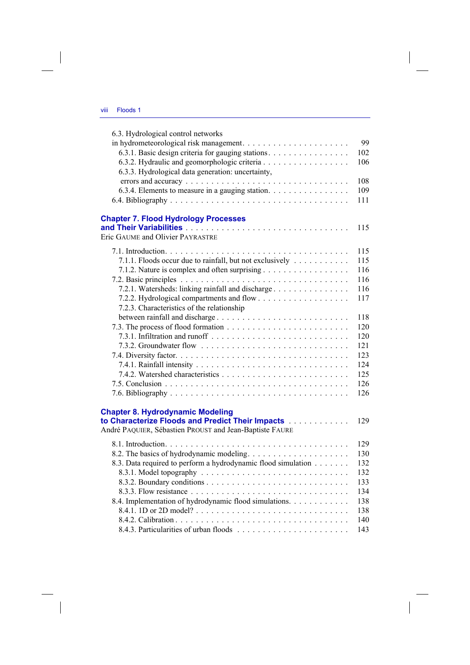| 6.3. Hydrological control networks                                  |     |
|---------------------------------------------------------------------|-----|
|                                                                     | 99  |
| 6.3.1. Basic design criteria for gauging stations.                  | 102 |
| 6.3.2. Hydraulic and geomorphologic criteria                        | 106 |
| 6.3.3. Hydrological data generation: uncertainty,                   |     |
|                                                                     | 108 |
| 6.3.4. Elements to measure in a gauging station.                    | 109 |
|                                                                     | 111 |
|                                                                     |     |
| <b>Chapter 7. Flood Hydrology Processes</b>                         |     |
|                                                                     | 115 |
| Eric GAUME and Olivier PAYRASTRE                                    |     |
|                                                                     |     |
|                                                                     | 115 |
| 7.1.1. Floods occur due to rainfall, but not exclusively            | 115 |
| 7.1.2. Nature is complex and often surprising                       | 116 |
|                                                                     | 116 |
| 7.2.1. Watersheds: linking rainfall and discharge                   | 116 |
|                                                                     | 117 |
| 7.2.3. Characteristics of the relationship                          |     |
|                                                                     | 118 |
|                                                                     | 120 |
|                                                                     | 120 |
|                                                                     | 121 |
|                                                                     | 123 |
|                                                                     | 124 |
|                                                                     | 125 |
|                                                                     | 126 |
|                                                                     | 126 |
|                                                                     |     |
| <b>Chapter 8. Hydrodynamic Modeling</b>                             |     |
| to Characterize Floods and Predict Their Impacts [11] Characterize: | 129 |
| André PAQUIER, Sébastien PROUST and Jean-Baptiste FAURE             |     |
|                                                                     |     |
|                                                                     | 129 |
|                                                                     | 130 |
| 8.3. Data required to perform a hydrodynamic flood simulation       | 132 |
|                                                                     | 132 |
|                                                                     | 133 |
|                                                                     | 134 |
| 8.4. Implementation of hydrodynamic flood simulations.              | 138 |
|                                                                     | 138 |
|                                                                     | 140 |
|                                                                     | 143 |
|                                                                     |     |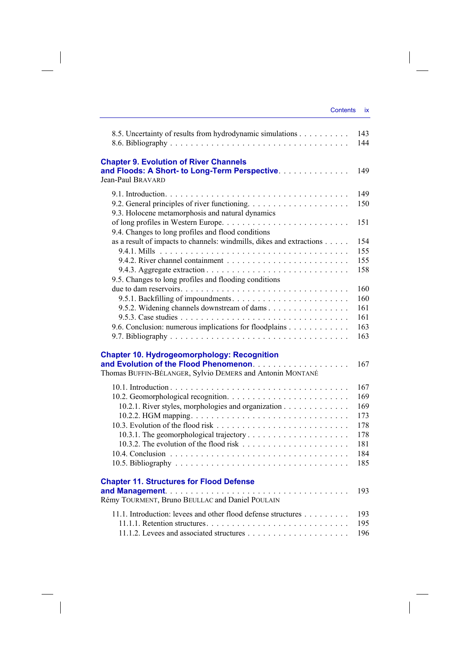| 8.5. Uncertainty of results from hydrodynamic simulations                                       | 143<br>144 |
|-------------------------------------------------------------------------------------------------|------------|
|                                                                                                 |            |
| <b>Chapter 9. Evolution of River Channels</b><br>and Floods: A Short- to Long-Term Perspective. | 149        |
| Jean-Paul BRAVARD                                                                               |            |
|                                                                                                 | 149        |
| 9.3. Holocene metamorphosis and natural dynamics                                                | 150        |
| 9.4. Changes to long profiles and flood conditions                                              | 151        |
| as a result of impacts to channels: windmills, dikes and extractions                            | 154        |
|                                                                                                 | 155        |
|                                                                                                 | 155        |
| 9.5. Changes to long profiles and flooding conditions                                           | 158        |
|                                                                                                 | 160        |
|                                                                                                 | 160        |
| 9.5.2. Widening channels downstream of dams                                                     | 161        |
|                                                                                                 | 161        |
| 9.6. Conclusion: numerous implications for floodplains                                          | 163<br>163 |
|                                                                                                 |            |
| <b>Chapter 10. Hydrogeomorphology: Recognition</b>                                              |            |
|                                                                                                 | 167        |
| Thomas BUFFIN-BÉLANGER, Sylvio DEMERS and Antonin MONTANÉ                                       |            |
|                                                                                                 | 167        |
|                                                                                                 | 169        |
| 10.2.1. River styles, morphologies and organization                                             | 169        |
|                                                                                                 | 173        |
|                                                                                                 | 178        |
|                                                                                                 | 178        |
|                                                                                                 | 181        |
|                                                                                                 | 184<br>185 |
|                                                                                                 |            |
| <b>Chapter 11. Structures for Flood Defense</b>                                                 |            |
| Rémy TOURMENT, Bruno BEULLAC and Daniel POULAIN                                                 | 193        |
| 11.1. Introduction: levees and other flood defense structures                                   | 193        |
|                                                                                                 | 195        |
|                                                                                                 | 196        |

 $\overline{\phantom{a}}$ 

 $\mathcal{L}^{\mathcal{L}}$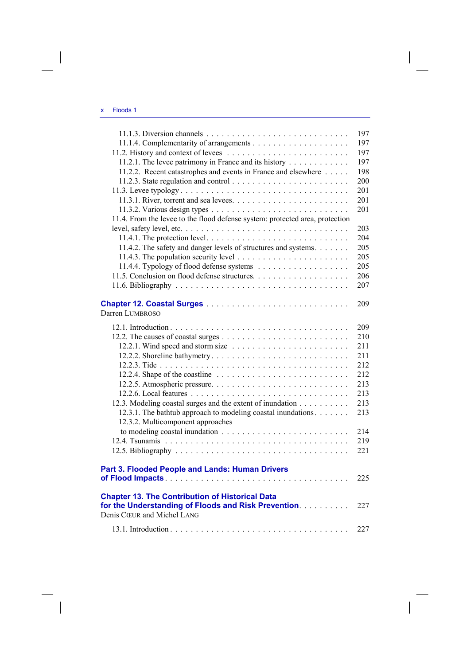| 11.2.1. The levee patrimony in France and its history                                                                                        | 197<br>197<br>197<br>197 |
|----------------------------------------------------------------------------------------------------------------------------------------------|--------------------------|
| 11.2.2. Recent catastrophes and events in France and elsewhere                                                                               | 198<br>200<br>201        |
| 11.4. From the levee to the flood defense system: protected area, protection                                                                 | 201<br>201               |
| 11.4.1. The protection level. $\dots \dots \dots \dots \dots \dots \dots \dots \dots \dots \dots$                                            | 203<br>204               |
| 11.4.2. The safety and danger levels of structures and systems.                                                                              | 205<br>205<br>205        |
|                                                                                                                                              | 206<br>207               |
| Darren LUMBROSO                                                                                                                              | 209                      |
|                                                                                                                                              | 209                      |
|                                                                                                                                              | 210<br>211               |
|                                                                                                                                              | 211<br>212               |
| 12.2.4. Shape of the coastline $\ldots \ldots \ldots \ldots \ldots \ldots \ldots \ldots$                                                     | 212                      |
|                                                                                                                                              | 213                      |
| 12.3. Modeling coastal surges and the extent of inundation                                                                                   | 213<br>213               |
| 12.3.1. The bathtub approach to modeling coastal inundations.<br>12.3.2. Multicomponent approaches                                           | 213                      |
|                                                                                                                                              | 214                      |
|                                                                                                                                              | 219<br>221               |
| Part 3. Flooded People and Lands: Human Drivers                                                                                              | 225                      |
| <b>Chapter 13. The Contribution of Historical Data</b><br>for the Understanding of Floods and Risk Prevention.<br>Denis CŒUR and Michel LANG | 227                      |
|                                                                                                                                              | 227                      |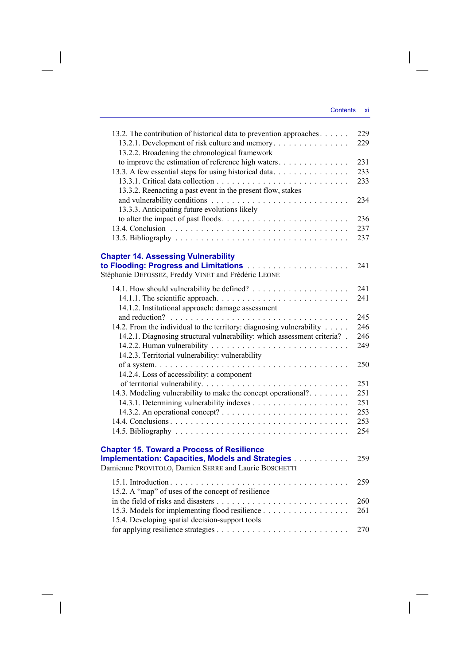$\begin{array}{c} \hline \end{array}$ 

| 13.2. The contribution of historical data to prevention approaches<br>13.2.1. Development of risk culture and memory<br>13.2.2. Broadening the chronological framework     | 229<br>229        |
|----------------------------------------------------------------------------------------------------------------------------------------------------------------------------|-------------------|
| to improve the estimation of reference high waters<br>13.3. A few essential steps for using historical data<br>13.3.2. Reenacting a past event in the present flow, stakes | 231<br>233<br>233 |
| 13.3.3. Anticipating future evolutions likely                                                                                                                              | 234               |
| to alter the impact of past floods                                                                                                                                         | 236<br>237<br>237 |
| <b>Chapter 14. Assessing Vulnerability</b><br>Stéphanie DEFOSSEZ, Freddy VINET and Frédéric LEONE                                                                          | 241               |
| 14.1.2. Institutional approach: damage assessment                                                                                                                          | 241<br>241        |
|                                                                                                                                                                            | 245               |
| 14.2. From the individual to the territory: diagnosing vulnerability                                                                                                       | 246               |
| 14.2.1. Diagnosing structural vulnerability: which assessment criteria? .                                                                                                  | 246               |
|                                                                                                                                                                            | 249               |
| 14.2.3. Territorial vulnerability: vulnerability                                                                                                                           |                   |
|                                                                                                                                                                            | 250               |
| 14.2.4. Loss of accessibility: a component                                                                                                                                 |                   |
|                                                                                                                                                                            | 251               |
| 14.3. Modeling vulnerability to make the concept operational?                                                                                                              | 251               |
|                                                                                                                                                                            | 251               |
|                                                                                                                                                                            | 253               |
|                                                                                                                                                                            | 253               |
|                                                                                                                                                                            | 254               |
| <b>Chapter 15. Toward a Process of Resilience</b><br><b>Implementation: Capacities, Models and Strategies [1] Allen Lines and Strategies</b>                               | 259               |
| Damienne PROVITOLO, Damien SERRE and Laurie BOSCHETTI                                                                                                                      |                   |
|                                                                                                                                                                            | 259               |
| 15.2. A "map" of uses of the concept of resilience                                                                                                                         |                   |
|                                                                                                                                                                            | 260               |
| 15.3. Models for implementing flood resilience                                                                                                                             | 261               |
| 15.4. Developing spatial decision-support tools                                                                                                                            |                   |
|                                                                                                                                                                            | 270               |
|                                                                                                                                                                            |                   |

 $\overline{\phantom{a}}$ 

 $\begin{array}{c} \begin{array}{c} \end{array} \end{array}$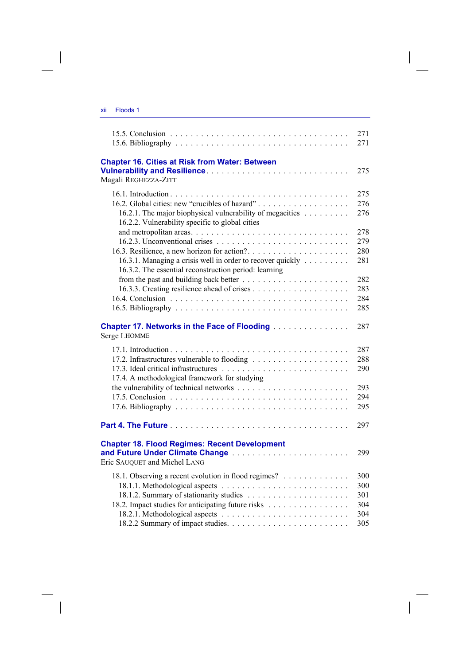| Floods 1<br>ХII |
|-----------------|
|-----------------|

|                                                                                                                                                                                                                                                                                       | 271<br>271                                                  |
|---------------------------------------------------------------------------------------------------------------------------------------------------------------------------------------------------------------------------------------------------------------------------------------|-------------------------------------------------------------|
| <b>Chapter 16. Cities at Risk from Water: Between</b><br>Magali REGHEZZA-ZITT                                                                                                                                                                                                         | 275                                                         |
| 16.2. Global cities: new "crucibles of hazard"<br>16.2.1. The major biophysical vulnerability of megacities<br>16.2.2. Vulnerability specific to global cities<br>16.3.1. Managing a crisis well in order to recover quickly<br>16.3.2. The essential reconstruction period: learning | 275<br>276<br>276<br>278<br>279<br>280<br>281<br>282<br>283 |
|                                                                                                                                                                                                                                                                                       | 284<br>285                                                  |
| <b>Chapter 17. Networks in the Face of Flooding [1] Allen Lines Allen Chapter 17. Networks in the Face of Flooding</b><br>Serge LHOMME                                                                                                                                                | 287                                                         |
| 17.4. A methodological framework for studying                                                                                                                                                                                                                                         | 287<br>288<br>290<br>293<br>294<br>295                      |
|                                                                                                                                                                                                                                                                                       | 297                                                         |
| <b>Chapter 18. Flood Regimes: Recent Development</b><br>and Future Under Climate Change<br>Eric SAUQUET and Michel LANG                                                                                                                                                               | 299                                                         |
| 18.1. Observing a recent evolution in flood regimes?<br>18.2. Impact studies for anticipating future risks                                                                                                                                                                            | 300<br>300<br>301<br>304<br>304<br>305                      |